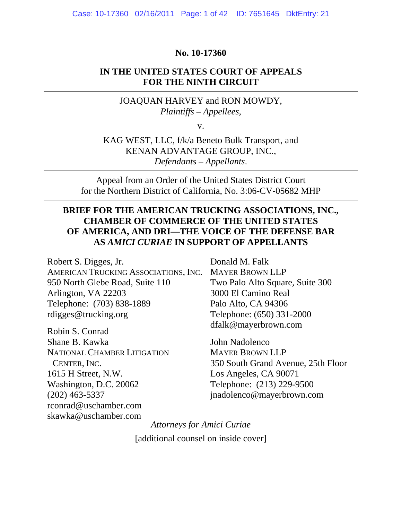#### **No. 10-17360**

#### **IN THE UNITED STATES COURT OF APPEALS FOR THE NINTH CIRCUIT**

JOAQUAN HARVEY and RON MOWDY, *Plaintiffs – Appellees*,

v.

KAG WEST, LLC, f/k/a Beneto Bulk Transport, and KENAN ADVANTAGE GROUP, INC., *Defendants – Appellants*.

Appeal from an Order of the United States District Court for the Northern District of California, No. 3:06-CV-05682 MHP

## **BRIEF FOR THE AMERICAN TRUCKING ASSOCIATIONS, INC., CHAMBER OF COMMERCE OF THE UNITED STATES OF AMERICA, AND DRI—THE VOICE OF THE DEFENSE BAR AS** *AMICI CURIAE* **IN SUPPORT OF APPELLANTS**

Robert S. Digges, Jr. AMERICAN TRUCKING ASSOCIATIONS, INC. 950 North Glebe Road, Suite 110 Arlington, VA 22203 Telephone: (703) 838-1889 rdigges@trucking.org

Robin S. Conrad Shane B. Kawka NATIONAL CHAMBER LITIGATION CENTER, INC. 1615 H Street, N.W. Washington, D.C. 20062 (202) 463-5337 rconrad@uschamber.com skawka@uschamber.com

Donald M. Falk MAYER BROWN LLP Two Palo Alto Square, Suite 300 3000 El Camino Real Palo Alto, CA 94306 Telephone: (650) 331-2000 dfalk@mayerbrown.com

John Nadolenco MAYER BROWN LLP 350 South Grand Avenue, 25th Floor Los Angeles, CA 90071 Telephone: (213) 229-9500 jnadolenco@mayerbrown.com

*Attorneys for Amici Curiae* [additional counsel on inside cover]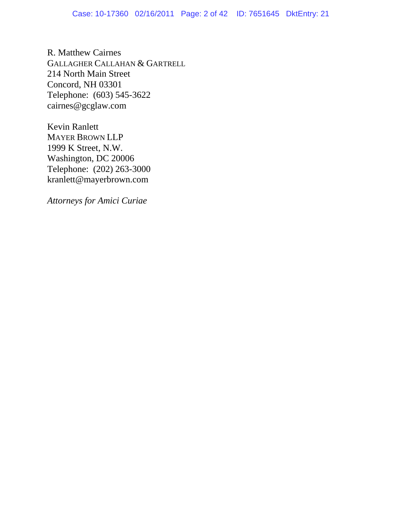R. Matthew Cairnes GALLAGHER CALLAHAN & GARTRELL 214 North Main Street Concord, NH 03301 Telephone: (603) 545-3622 cairnes@gcglaw.com

Kevin Ranlett MAYER BROWN LLP 1999 K Street, N.W. Washington, DC 20006 Telephone: (202) 263-3000 kranlett@mayerbrown.com

*Attorneys for Amici Curiae*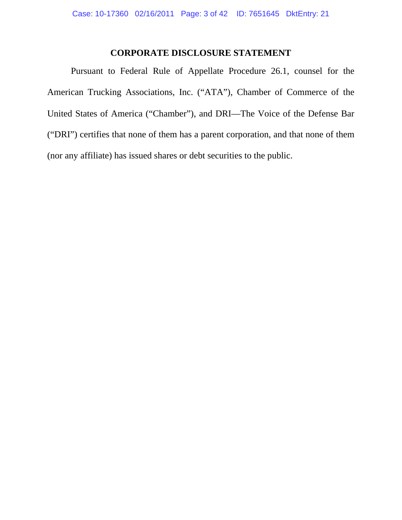## **CORPORATE DISCLOSURE STATEMENT**

Pursuant to Federal Rule of Appellate Procedure 26.1, counsel for the American Trucking Associations, Inc. ("ATA"), Chamber of Commerce of the United States of America ("Chamber"), and DRI—The Voice of the Defense Bar ("DRI") certifies that none of them has a parent corporation, and that none of them (nor any affiliate) has issued shares or debt securities to the public.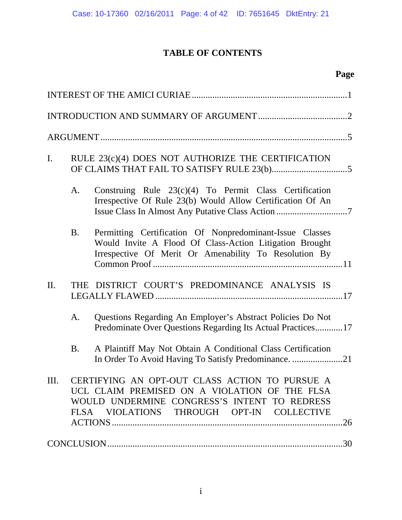# **TABLE OF CONTENTS**

# **Page**

| $\mathbf{I}$ . | RULE 23(c)(4) DOES NOT AUTHORIZE THE CERTIFICATION |                                                                                                                                                                                              |  |  |  |
|----------------|----------------------------------------------------|----------------------------------------------------------------------------------------------------------------------------------------------------------------------------------------------|--|--|--|
|                | A.                                                 | Construing Rule 23(c)(4) To Permit Class Certification<br>Irrespective Of Rule 23(b) Would Allow Certification Of An                                                                         |  |  |  |
|                | <b>B.</b>                                          | Permitting Certification Of Nonpredominant-Issue Classes<br>Would Invite A Flood Of Class-Action Litigation Brought<br>Irrespective Of Merit Or Amenability To Resolution By                 |  |  |  |
| II.            |                                                    | THE DISTRICT COURT'S PREDOMINANCE ANALYSIS IS                                                                                                                                                |  |  |  |
|                | A.                                                 | Questions Regarding An Employer's Abstract Policies Do Not<br>Predominate Over Questions Regarding Its Actual Practices17                                                                    |  |  |  |
|                | <b>B.</b>                                          | A Plaintiff May Not Obtain A Conditional Class Certification<br>In Order To Avoid Having To Satisfy Predominance. 21                                                                         |  |  |  |
| III.           |                                                    | CERTIFYING AN OPT-OUT CLASS ACTION TO PURSUE A<br>UCL CLAIM PREMISED ON A VIOLATION OF THE FLSA<br>WOULD UNDERMINE CONGRESS'S INTENT TO REDRESS<br>FLSA VIOLATIONS THROUGH OPT-IN COLLECTIVE |  |  |  |
|                |                                                    |                                                                                                                                                                                              |  |  |  |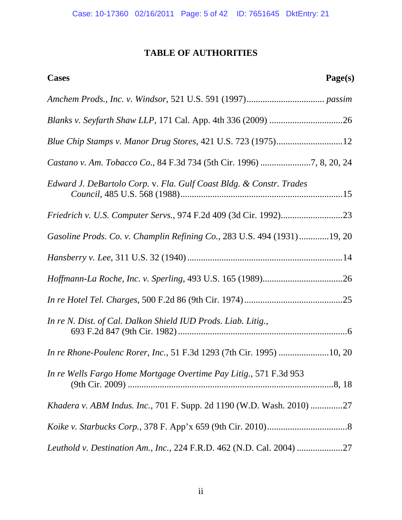# **TABLE OF AUTHORITIES**

| Page(s)<br>Cases                                                        |
|-------------------------------------------------------------------------|
|                                                                         |
|                                                                         |
| Blue Chip Stamps v. Manor Drug Stores, 421 U.S. 723 (1975)12            |
| Castano v. Am. Tobacco Co., 84 F.3d 734 (5th Cir. 1996) 7, 8, 20, 24    |
| Edward J. DeBartolo Corp. v. Fla. Gulf Coast Bldg. & Constr. Trades     |
|                                                                         |
| Gasoline Prods. Co. v. Champlin Refining Co., 283 U.S. 494 (1931)19, 20 |
|                                                                         |
|                                                                         |
|                                                                         |
| In re N. Dist. of Cal. Dalkon Shield IUD Prods. Liab. Litig.,           |
| In re Rhone-Poulenc Rorer, Inc., 51 F.3d 1293 (7th Cir. 1995) 10, 20    |
| In re Wells Fargo Home Mortgage Overtime Pay Litig., 571 F.3d 953       |
| Khadera v. ABM Indus. Inc., 701 F. Supp. 2d 1190 (W.D. Wash. 2010) 27   |
|                                                                         |
| Leuthold v. Destination Am., Inc., 224 F.R.D. 462 (N.D. Cal. 2004)      |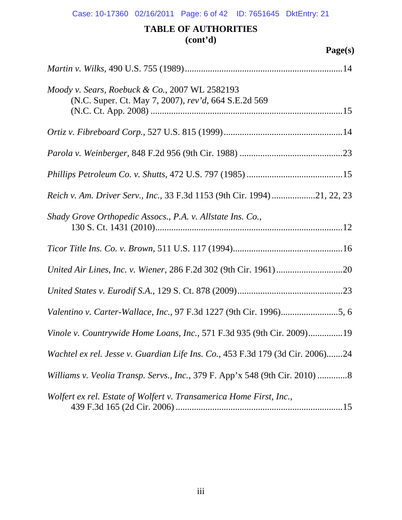# **TABLE OF AUTHORITIES (cont'd)**

| Moody v. Sears, Roebuck & Co., 2007 WL 2582193<br>(N.C. Super. Ct. May 7, 2007), rev'd, 664 S.E.2d 569 |
|--------------------------------------------------------------------------------------------------------|
|                                                                                                        |
|                                                                                                        |
|                                                                                                        |
| Reich v. Am. Driver Serv., Inc., 33 F.3d 1153 (9th Cir. 1994) 21, 22, 23                               |
| Shady Grove Orthopedic Assocs., P.A. v. Allstate Ins. Co.,                                             |
|                                                                                                        |
|                                                                                                        |
|                                                                                                        |
| Valentino v. Carter-Wallace, Inc., 97 F.3d 1227 (9th Cir. 1996)5, 6                                    |
| Vinole v. Countrywide Home Loans, Inc., 571 F.3d 935 (9th Cir. 2009)19                                 |
| Wachtel ex rel. Jesse v. Guardian Life Ins. Co., 453 F.3d 179 (3d Cir. 2006)24                         |
| Williams v. Veolia Transp. Servs., Inc., 379 F. App'x 548 (9th Cir. 2010) 8                            |
| Wolfert ex rel. Estate of Wolfert v. Transamerica Home First, Inc.,                                    |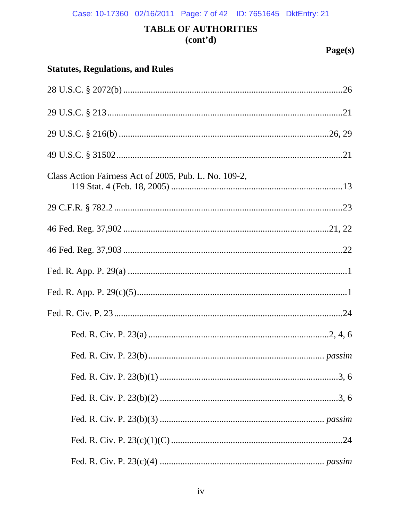Case: 10-17360 02/16/2011 Page: 7 of 42 ID: 7651645 DktEntry: 21

# **TABLE OF AUTHORITIES**  $(cont<sup>2</sup>d)$

| <b>Statutes, Regulations, and Rules</b>               |  |  |  |  |  |
|-------------------------------------------------------|--|--|--|--|--|
|                                                       |  |  |  |  |  |
|                                                       |  |  |  |  |  |
|                                                       |  |  |  |  |  |
|                                                       |  |  |  |  |  |
| Class Action Fairness Act of 2005, Pub. L. No. 109-2, |  |  |  |  |  |
|                                                       |  |  |  |  |  |
|                                                       |  |  |  |  |  |
|                                                       |  |  |  |  |  |
|                                                       |  |  |  |  |  |
|                                                       |  |  |  |  |  |
|                                                       |  |  |  |  |  |
|                                                       |  |  |  |  |  |
|                                                       |  |  |  |  |  |
|                                                       |  |  |  |  |  |
|                                                       |  |  |  |  |  |
|                                                       |  |  |  |  |  |
|                                                       |  |  |  |  |  |
|                                                       |  |  |  |  |  |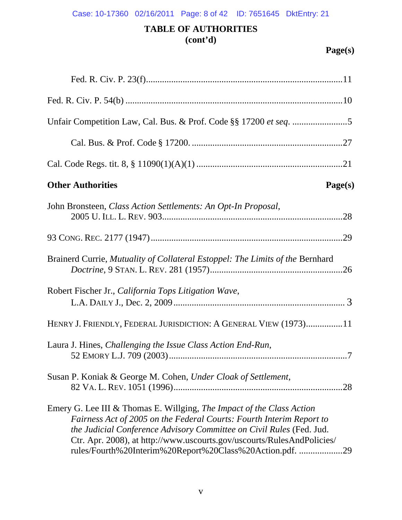# Case: 10-17360 02/16/2011 Page: 8 of 42 ID: 7651645 DktEntry: 21

# **TABLE OF AUTHORITIES (cont'd)**

| <b>Other Authorities</b><br>Page(s)                                                                                                                                                                                                                                                                                                                         |
|-------------------------------------------------------------------------------------------------------------------------------------------------------------------------------------------------------------------------------------------------------------------------------------------------------------------------------------------------------------|
| John Bronsteen, Class Action Settlements: An Opt-In Proposal,                                                                                                                                                                                                                                                                                               |
|                                                                                                                                                                                                                                                                                                                                                             |
| Brainerd Currie, Mutuality of Collateral Estoppel: The Limits of the Bernhard                                                                                                                                                                                                                                                                               |
| Robert Fischer Jr., California Tops Litigation Wave,                                                                                                                                                                                                                                                                                                        |
| HENRY J. FRIENDLY, FEDERAL JURISDICTION: A GENERAL VIEW (1973)11                                                                                                                                                                                                                                                                                            |
| Laura J. Hines, Challenging the Issue Class Action End-Run,                                                                                                                                                                                                                                                                                                 |
| Susan P. Koniak & George M. Cohen, Under Cloak of Settlement,                                                                                                                                                                                                                                                                                               |
| Emery G. Lee III & Thomas E. Willging, The Impact of the Class Action<br>Fairness Act of 2005 on the Federal Courts: Fourth Interim Report to<br>the Judicial Conference Advisory Committee on Civil Rules (Fed. Jud.<br>Ctr. Apr. 2008), at http://www.uscourts.gov/uscourts/RulesAndPolicies/<br>rules/Fourth%20Interim%20Report%20Class%20Action.pdf. 29 |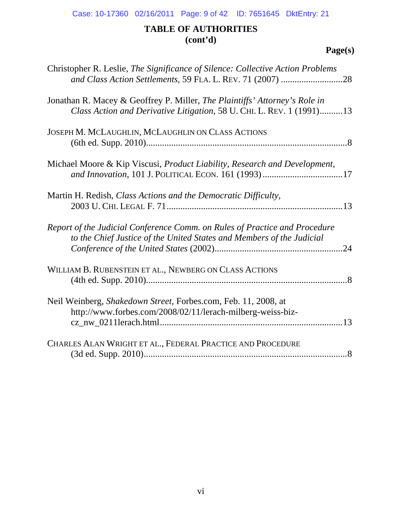# Case: 10-17360 02/16/2011 Page: 9 of 42 ID: 7651645 DktEntry: 21

# **TABLE OF AUTHORITIES (cont'd)**

| Christopher R. Leslie, The Significance of Silence: Collective Action Problems<br>and Class Action Settlements, 59 FLA. L. REV. 71 (2007) 28        |  |
|-----------------------------------------------------------------------------------------------------------------------------------------------------|--|
| Jonathan R. Macey & Geoffrey P. Miller, The Plaintiffs' Attorney's Role in<br>Class Action and Derivative Litigation, 58 U. CHI. L. REV. 1 (1991)13 |  |
| JOSEPH M. MCLAUGHLIN, MCLAUGHLIN ON CLASS ACTIONS                                                                                                   |  |
| Michael Moore & Kip Viscusi, <i>Product Liability</i> , <i>Research and Development</i> ,                                                           |  |
| Martin H. Redish, Class Actions and the Democratic Difficulty,                                                                                      |  |
| Report of the Judicial Conference Comm. on Rules of Practice and Procedure<br>to the Chief Justice of the United States and Members of the Judicial |  |
| WILLIAM B. RUBENSTEIN ET AL., NEWBERG ON CLASS ACTIONS                                                                                              |  |
| Neil Weinberg, Shakedown Street, Forbes.com, Feb. 11, 2008, at<br>http://www.forbes.com/2008/02/11/lerach-milberg-weiss-biz-                        |  |
| CHARLES ALAN WRIGHT ET AL., FEDERAL PRACTICE AND PROCEDURE                                                                                          |  |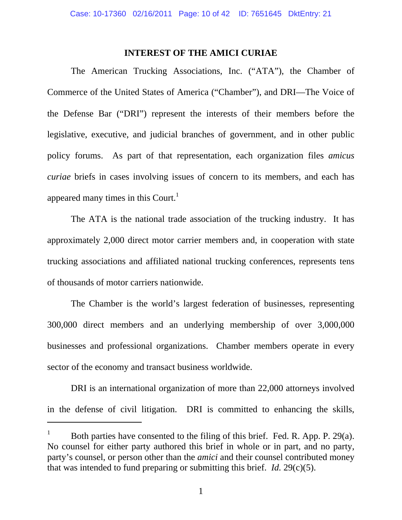#### **INTEREST OF THE AMICI CURIAE**

The American Trucking Associations, Inc. ("ATA"), the Chamber of Commerce of the United States of America ("Chamber"), and DRI—The Voice of the Defense Bar ("DRI") represent the interests of their members before the legislative, executive, and judicial branches of government, and in other public policy forums. As part of that representation, each organization files *amicus curiae* briefs in cases involving issues of concern to its members, and each has appeared many times in this Court.<sup>1</sup>

The ATA is the national trade association of the trucking industry. It has approximately 2,000 direct motor carrier members and, in cooperation with state trucking associations and affiliated national trucking conferences, represents tens of thousands of motor carriers nationwide.

The Chamber is the world's largest federation of businesses, representing 300,000 direct members and an underlying membership of over 3,000,000 businesses and professional organizations. Chamber members operate in every sector of the economy and transact business worldwide.

DRI is an international organization of more than 22,000 attorneys involved in the defense of civil litigation. DRI is committed to enhancing the skills,

-

<sup>1</sup> Both parties have consented to the filing of this brief. Fed. R. App. P. 29(a). No counsel for either party authored this brief in whole or in part, and no party, party's counsel, or person other than the *amici* and their counsel contributed money that was intended to fund preparing or submitting this brief. *Id.* 29(c)(5).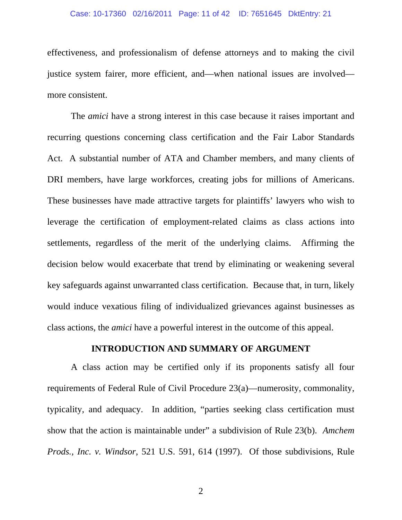#### Case: 10-17360 02/16/2011 Page: 11 of 42 ID: 7651645 DktEntry: 21

effectiveness, and professionalism of defense attorneys and to making the civil justice system fairer, more efficient, and—when national issues are involved more consistent.

The *amici* have a strong interest in this case because it raises important and recurring questions concerning class certification and the Fair Labor Standards Act. A substantial number of ATA and Chamber members, and many clients of DRI members, have large workforces, creating jobs for millions of Americans. These businesses have made attractive targets for plaintiffs' lawyers who wish to leverage the certification of employment-related claims as class actions into settlements, regardless of the merit of the underlying claims. Affirming the decision below would exacerbate that trend by eliminating or weakening several key safeguards against unwarranted class certification. Because that, in turn, likely would induce vexatious filing of individualized grievances against businesses as class actions, the *amici* have a powerful interest in the outcome of this appeal.

### **INTRODUCTION AND SUMMARY OF ARGUMENT**

A class action may be certified only if its proponents satisfy all four requirements of Federal Rule of Civil Procedure 23(a)—numerosity, commonality, typicality, and adequacy. In addition, "parties seeking class certification must show that the action is maintainable under" a subdivision of Rule 23(b). *Amchem Prods., Inc. v. Windsor*, 521 U.S. 591, 614 (1997). Of those subdivisions, Rule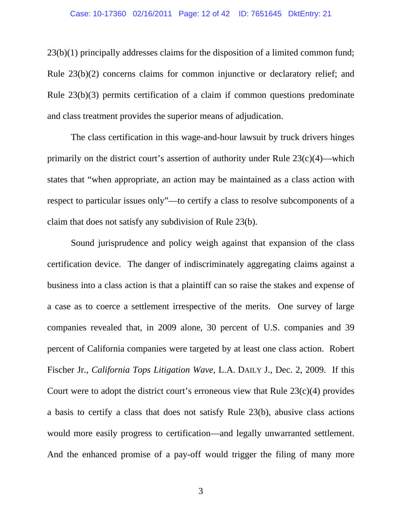#### Case: 10-17360 02/16/2011 Page: 12 of 42 ID: 7651645 DktEntry: 21

23(b)(1) principally addresses claims for the disposition of a limited common fund; Rule 23(b)(2) concerns claims for common injunctive or declaratory relief; and Rule 23(b)(3) permits certification of a claim if common questions predominate and class treatment provides the superior means of adjudication.

The class certification in this wage-and-hour lawsuit by truck drivers hinges primarily on the district court's assertion of authority under Rule  $23(c)(4)$ —which states that "when appropriate, an action may be maintained as a class action with respect to particular issues only"—to certify a class to resolve subcomponents of a claim that does not satisfy any subdivision of Rule 23(b).

Sound jurisprudence and policy weigh against that expansion of the class certification device. The danger of indiscriminately aggregating claims against a business into a class action is that a plaintiff can so raise the stakes and expense of a case as to coerce a settlement irrespective of the merits. One survey of large companies revealed that, in 2009 alone, 30 percent of U.S. companies and 39 percent of California companies were targeted by at least one class action. Robert Fischer Jr., *California Tops Litigation Wave*, L.A. DAILY J., Dec. 2, 2009. If this Court were to adopt the district court's erroneous view that Rule  $23(c)(4)$  provides a basis to certify a class that does not satisfy Rule 23(b), abusive class actions would more easily progress to certification—and legally unwarranted settlement. And the enhanced promise of a pay-off would trigger the filing of many more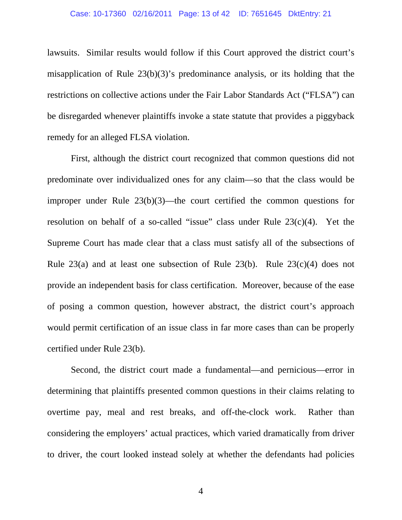### Case: 10-17360 02/16/2011 Page: 13 of 42 ID: 7651645 DktEntry: 21

lawsuits. Similar results would follow if this Court approved the district court's misapplication of Rule 23(b)(3)'s predominance analysis, or its holding that the restrictions on collective actions under the Fair Labor Standards Act ("FLSA") can be disregarded whenever plaintiffs invoke a state statute that provides a piggyback remedy for an alleged FLSA violation.

First, although the district court recognized that common questions did not predominate over individualized ones for any claim—so that the class would be improper under Rule 23(b)(3)—the court certified the common questions for resolution on behalf of a so-called "issue" class under Rule 23(c)(4). Yet the Supreme Court has made clear that a class must satisfy all of the subsections of Rule 23(a) and at least one subsection of Rule 23(b). Rule  $23(c)(4)$  does not provide an independent basis for class certification. Moreover, because of the ease of posing a common question, however abstract, the district court's approach would permit certification of an issue class in far more cases than can be properly certified under Rule 23(b).

Second, the district court made a fundamental—and pernicious—error in determining that plaintiffs presented common questions in their claims relating to overtime pay, meal and rest breaks, and off-the-clock work. Rather than considering the employers' actual practices, which varied dramatically from driver to driver, the court looked instead solely at whether the defendants had policies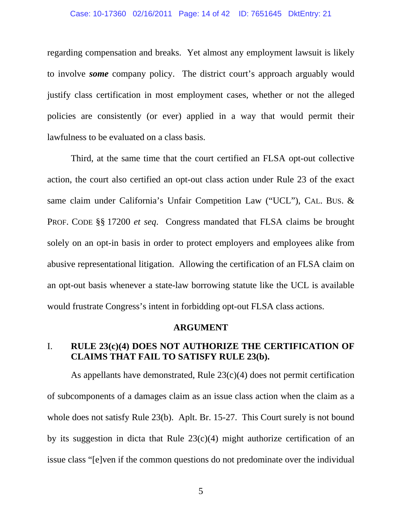### Case: 10-17360 02/16/2011 Page: 14 of 42 ID: 7651645 DktEntry: 21

regarding compensation and breaks. Yet almost any employment lawsuit is likely to involve *some* company policy. The district court's approach arguably would justify class certification in most employment cases, whether or not the alleged policies are consistently (or ever) applied in a way that would permit their lawfulness to be evaluated on a class basis.

Third, at the same time that the court certified an FLSA opt-out collective action, the court also certified an opt-out class action under Rule 23 of the exact same claim under California's Unfair Competition Law ("UCL"), CAL. BUS. & PROF. CODE §§ 17200 *et seq*. Congress mandated that FLSA claims be brought solely on an opt-in basis in order to protect employers and employees alike from abusive representational litigation. Allowing the certification of an FLSA claim on an opt-out basis whenever a state-law borrowing statute like the UCL is available would frustrate Congress's intent in forbidding opt-out FLSA class actions.

#### **ARGUMENT**

## I. **RULE 23(c)(4) DOES NOT AUTHORIZE THE CERTIFICATION OF CLAIMS THAT FAIL TO SATISFY RULE 23(b).**

As appellants have demonstrated, Rule 23(c)(4) does not permit certification of subcomponents of a damages claim as an issue class action when the claim as a whole does not satisfy Rule 23(b). Aplt. Br. 15-27. This Court surely is not bound by its suggestion in dicta that Rule  $23(c)(4)$  might authorize certification of an issue class "[e]ven if the common questions do not predominate over the individual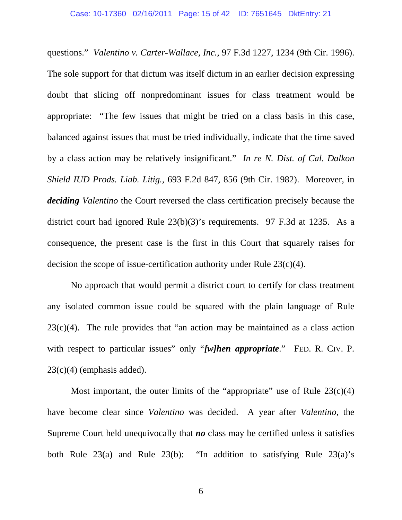questions." *Valentino v. Carter-Wallace, Inc.*, 97 F.3d 1227, 1234 (9th Cir. 1996). The sole support for that dictum was itself dictum in an earlier decision expressing doubt that slicing off nonpredominant issues for class treatment would be appropriate: "The few issues that might be tried on a class basis in this case, balanced against issues that must be tried individually, indicate that the time saved by a class action may be relatively insignificant." *In re N. Dist. of Cal. Dalkon Shield IUD Prods. Liab. Litig.*, 693 F.2d 847, 856 (9th Cir. 1982). Moreover, in *deciding Valentino* the Court reversed the class certification precisely because the district court had ignored Rule 23(b)(3)'s requirements. 97 F.3d at 1235. As a consequence, the present case is the first in this Court that squarely raises for decision the scope of issue-certification authority under Rule  $23(c)(4)$ .

No approach that would permit a district court to certify for class treatment any isolated common issue could be squared with the plain language of Rule  $23(c)(4)$ . The rule provides that "an action may be maintained as a class action with respect to particular issues" only "*[w]hen appropriate.*" FED. R. CIV. P.  $23(c)(4)$  (emphasis added).

Most important, the outer limits of the "appropriate" use of Rule  $23(c)(4)$ have become clear since *Valentino* was decided. A year after *Valentino*, the Supreme Court held unequivocally that *no* class may be certified unless it satisfies both Rule  $23(a)$  and Rule  $23(b)$ : "In addition to satisfying Rule  $23(a)$ 's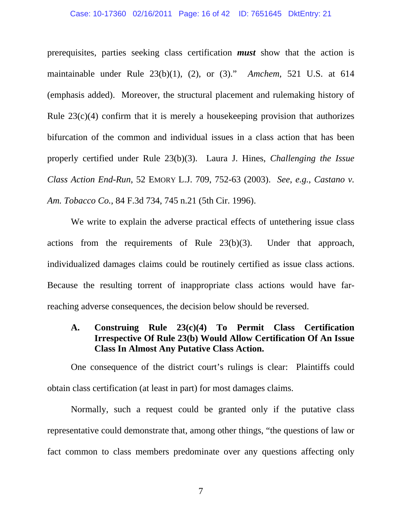#### Case: 10-17360 02/16/2011 Page: 16 of 42 ID: 7651645 DktEntry: 21

prerequisites, parties seeking class certification *must* show that the action is maintainable under Rule 23(b)(1), (2), or (3)." *Amchem*, 521 U.S. at 614 (emphasis added). Moreover, the structural placement and rulemaking history of Rule  $23(c)(4)$  confirm that it is merely a house keeping provision that authorizes bifurcation of the common and individual issues in a class action that has been properly certified under Rule 23(b)(3). Laura J. Hines, *Challenging the Issue Class Action End-Run*, 52 EMORY L.J. 709, 752-63 (2003). *See*, *e.g.*, *Castano v. Am. Tobacco Co.*, 84 F.3d 734, 745 n.21 (5th Cir. 1996).

We write to explain the adverse practical effects of untethering issue class actions from the requirements of Rule 23(b)(3). Under that approach, individualized damages claims could be routinely certified as issue class actions. Because the resulting torrent of inappropriate class actions would have farreaching adverse consequences, the decision below should be reversed.

### **A. Construing Rule 23(c)(4) To Permit Class Certification Irrespective Of Rule 23(b) Would Allow Certification Of An Issue Class In Almost Any Putative Class Action.**

One consequence of the district court's rulings is clear: Plaintiffs could obtain class certification (at least in part) for most damages claims.

Normally, such a request could be granted only if the putative class representative could demonstrate that, among other things, "the questions of law or fact common to class members predominate over any questions affecting only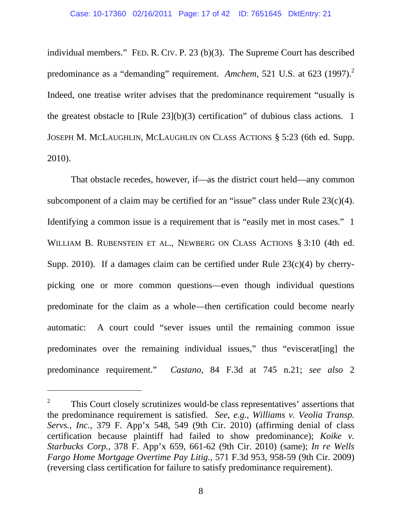individual members." FED. R. CIV. P. 23 (b)(3). The Supreme Court has described predominance as a "demanding" requirement. *Amchem*, 521 U.S. at 623 (1997).<sup>2</sup> Indeed, one treatise writer advises that the predominance requirement "usually is the greatest obstacle to [Rule 23](b)(3) certification" of dubious class actions. 1 JOSEPH M. MCLAUGHLIN, MCLAUGHLIN ON CLASS ACTIONS § 5:23 (6th ed. Supp. 2010).

That obstacle recedes, however, if—as the district court held—any common subcomponent of a claim may be certified for an "issue" class under Rule  $23(c)(4)$ . Identifying a common issue is a requirement that is "easily met in most cases." 1 WILLIAM B. RUBENSTEIN ET AL., NEWBERG ON CLASS ACTIONS § 3:10 (4th ed. Supp. 2010). If a damages claim can be certified under Rule  $23(c)(4)$  by cherrypicking one or more common questions—even though individual questions predominate for the claim as a whole—then certification could become nearly automatic: A court could "sever issues until the remaining common issue predominates over the remaining individual issues," thus "eviscerat[ing] the predominance requirement." *Castano*, 84 F.3d at 745 n.21; *see also* 2

-

<sup>2</sup> This Court closely scrutinizes would-be class representatives' assertions that the predominance requirement is satisfied. *See*, *e.g.*, *Williams v. Veolia Transp. Servs., Inc.*, 379 F. App'x 548, 549 (9th Cir. 2010) (affirming denial of class certification because plaintiff had failed to show predominance); *Koike v. Starbucks Corp.*, 378 F. App'x 659, 661-62 (9th Cir. 2010) (same); *In re Wells Fargo Home Mortgage Overtime Pay Litig.*, 571 F.3d 953, 958-59 (9th Cir. 2009) (reversing class certification for failure to satisfy predominance requirement).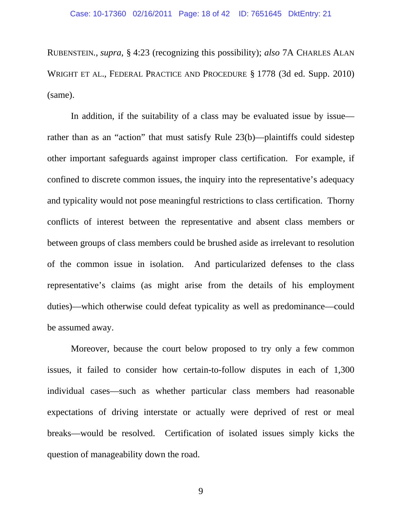RUBENSTEIN*.*, *supra*, § 4:23 (recognizing this possibility); *also* 7A CHARLES ALAN WRIGHT ET AL., FEDERAL PRACTICE AND PROCEDURE § 1778 (3d ed. Supp. 2010) (same).

In addition, if the suitability of a class may be evaluated issue by issue rather than as an "action" that must satisfy Rule 23(b)—plaintiffs could sidestep other important safeguards against improper class certification. For example, if confined to discrete common issues, the inquiry into the representative's adequacy and typicality would not pose meaningful restrictions to class certification. Thorny conflicts of interest between the representative and absent class members or between groups of class members could be brushed aside as irrelevant to resolution of the common issue in isolation. And particularized defenses to the class representative's claims (as might arise from the details of his employment duties)—which otherwise could defeat typicality as well as predominance—could be assumed away.

Moreover, because the court below proposed to try only a few common issues, it failed to consider how certain-to-follow disputes in each of 1,300 individual cases—such as whether particular class members had reasonable expectations of driving interstate or actually were deprived of rest or meal breaks—would be resolved. Certification of isolated issues simply kicks the question of manageability down the road.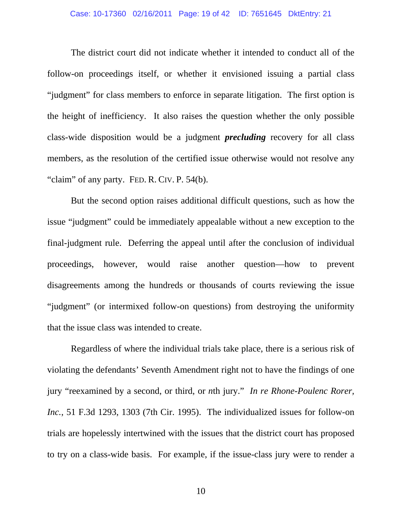### Case: 10-17360 02/16/2011 Page: 19 of 42 ID: 7651645 DktEntry: 21

The district court did not indicate whether it intended to conduct all of the follow-on proceedings itself, or whether it envisioned issuing a partial class "judgment" for class members to enforce in separate litigation. The first option is the height of inefficiency. It also raises the question whether the only possible class-wide disposition would be a judgment *precluding* recovery for all class members, as the resolution of the certified issue otherwise would not resolve any "claim" of any party. FED. R. CIV. P. 54(b).

But the second option raises additional difficult questions, such as how the issue "judgment" could be immediately appealable without a new exception to the final-judgment rule. Deferring the appeal until after the conclusion of individual proceedings, however, would raise another question—how to prevent disagreements among the hundreds or thousands of courts reviewing the issue "judgment" (or intermixed follow-on questions) from destroying the uniformity that the issue class was intended to create.

Regardless of where the individual trials take place, there is a serious risk of violating the defendants' Seventh Amendment right not to have the findings of one jury "reexamined by a second, or third, or *n*th jury." *In re Rhone-Poulenc Rorer, Inc.*, 51 F.3d 1293, 1303 (7th Cir. 1995). The individualized issues for follow-on trials are hopelessly intertwined with the issues that the district court has proposed to try on a class-wide basis. For example, if the issue-class jury were to render a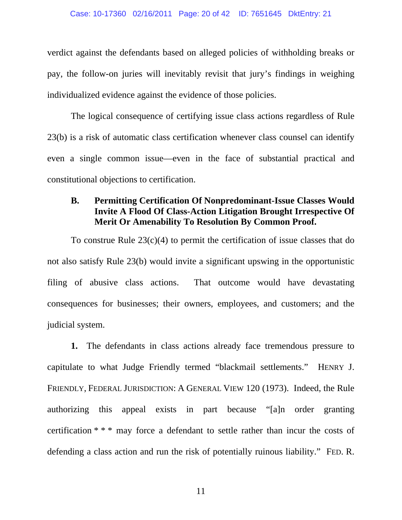verdict against the defendants based on alleged policies of withholding breaks or pay, the follow-on juries will inevitably revisit that jury's findings in weighing individualized evidence against the evidence of those policies.

The logical consequence of certifying issue class actions regardless of Rule 23(b) is a risk of automatic class certification whenever class counsel can identify even a single common issue—even in the face of substantial practical and constitutional objections to certification.

## **B. Permitting Certification Of Nonpredominant-Issue Classes Would Invite A Flood Of Class-Action Litigation Brought Irrespective Of Merit Or Amenability To Resolution By Common Proof.**

To construe Rule 23(c)(4) to permit the certification of issue classes that do not also satisfy Rule 23(b) would invite a significant upswing in the opportunistic filing of abusive class actions. That outcome would have devastating consequences for businesses; their owners, employees, and customers; and the judicial system.

**1.** The defendants in class actions already face tremendous pressure to capitulate to what Judge Friendly termed "blackmail settlements." HENRY J. FRIENDLY, FEDERAL JURISDICTION: A GENERAL VIEW 120 (1973). Indeed, the Rule authorizing this appeal exists in part because "[a]n order granting certification \* \* \* may force a defendant to settle rather than incur the costs of defending a class action and run the risk of potentially ruinous liability." FED. R.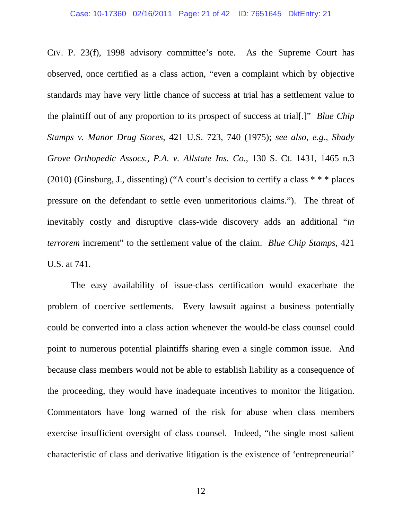#### Case: 10-17360 02/16/2011 Page: 21 of 42 ID: 7651645 DktEntry: 21

CIV. P. 23(f), 1998 advisory committee's note. As the Supreme Court has observed, once certified as a class action, "even a complaint which by objective standards may have very little chance of success at trial has a settlement value to the plaintiff out of any proportion to its prospect of success at trial[.]" *Blue Chip Stamps v. Manor Drug Stores*, 421 U.S. 723, 740 (1975); *see also*, *e.g.*, *Shady Grove Orthopedic Assocs., P.A. v. Allstate Ins. Co.*, 130 S. Ct. 1431, 1465 n.3 (2010) (Ginsburg, J., dissenting) ("A court's decision to certify a class \* \* \* places pressure on the defendant to settle even unmeritorious claims."). The threat of inevitably costly and disruptive class-wide discovery adds an additional "*in terrorem* increment" to the settlement value of the claim. *Blue Chip Stamps*, 421 U.S. at 741.

The easy availability of issue-class certification would exacerbate the problem of coercive settlements. Every lawsuit against a business potentially could be converted into a class action whenever the would-be class counsel could point to numerous potential plaintiffs sharing even a single common issue. And because class members would not be able to establish liability as a consequence of the proceeding, they would have inadequate incentives to monitor the litigation. Commentators have long warned of the risk for abuse when class members exercise insufficient oversight of class counsel. Indeed, "the single most salient characteristic of class and derivative litigation is the existence of 'entrepreneurial'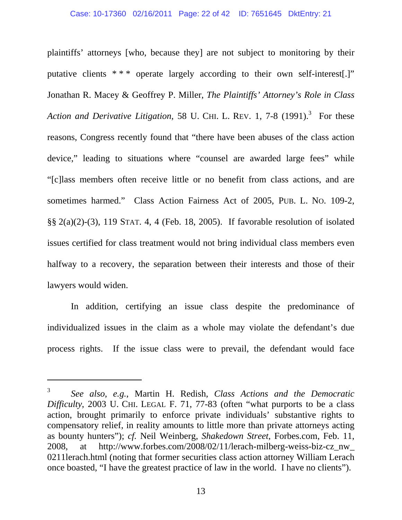plaintiffs' attorneys [who, because they] are not subject to monitoring by their putative clients \* \* \* operate largely according to their own self-interest[.]" Jonathan R. Macey & Geoffrey P. Miller, *The Plaintiffs' Attorney's Role in Class*  Action and Derivative Litigation, 58 U. CHI. L. REV. 1, 7-8 (1991).<sup>3</sup> For these reasons, Congress recently found that "there have been abuses of the class action device," leading to situations where "counsel are awarded large fees" while "[c]lass members often receive little or no benefit from class actions, and are sometimes harmed." Class Action Fairness Act of 2005, PUB. L. NO. 109-2, §§ 2(a)(2)-(3), 119 STAT. 4, 4 (Feb. 18, 2005). If favorable resolution of isolated issues certified for class treatment would not bring individual class members even halfway to a recovery, the separation between their interests and those of their lawyers would widen.

In addition, certifying an issue class despite the predominance of individualized issues in the claim as a whole may violate the defendant's due process rights. If the issue class were to prevail, the defendant would face

 $\overline{a}$ 

<sup>3</sup> *See also*, *e.g.*, Martin H. Redish, *Class Actions and the Democratic Difficulty*, 2003 U. CHI. LEGAL F. 71, 77-83 (often "what purports to be a class action, brought primarily to enforce private individuals' substantive rights to compensatory relief, in reality amounts to little more than private attorneys acting as bounty hunters"); *cf.* Neil Weinberg, *Shakedown Street*, Forbes.com, Feb. 11, 2008, at http://www.forbes.com/2008/02/11/lerach-milberg-weiss-biz-cz\_nw\_ 0211lerach.html (noting that former securities class action attorney William Lerach once boasted, "I have the greatest practice of law in the world. I have no clients").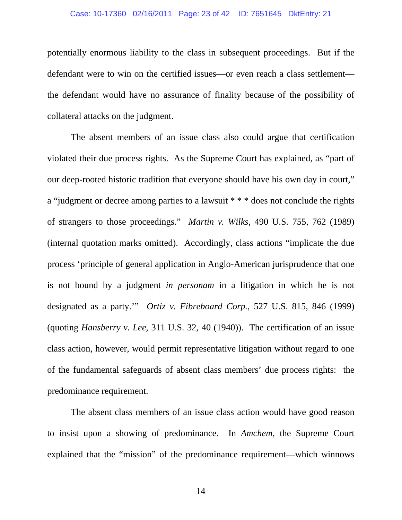#### Case: 10-17360 02/16/2011 Page: 23 of 42 ID: 7651645 DktEntry: 21

potentially enormous liability to the class in subsequent proceedings. But if the defendant were to win on the certified issues—or even reach a class settlement the defendant would have no assurance of finality because of the possibility of collateral attacks on the judgment.

The absent members of an issue class also could argue that certification violated their due process rights. As the Supreme Court has explained, as "part of our deep-rooted historic tradition that everyone should have his own day in court," a "judgment or decree among parties to a lawsuit \* \* \* does not conclude the rights of strangers to those proceedings." *Martin v. Wilks*, 490 U.S. 755, 762 (1989) (internal quotation marks omitted). Accordingly, class actions "implicate the due process 'principle of general application in Anglo-American jurisprudence that one is not bound by a judgment *in personam* in a litigation in which he is not designated as a party.'" *Ortiz v. Fibreboard Corp.*, 527 U.S. 815, 846 (1999) (quoting *Hansberry v. Lee*, 311 U.S. 32, 40 (1940)). The certification of an issue class action, however, would permit representative litigation without regard to one of the fundamental safeguards of absent class members' due process rights: the predominance requirement.

The absent class members of an issue class action would have good reason to insist upon a showing of predominance. In *Amchem*, the Supreme Court explained that the "mission" of the predominance requirement—which winnows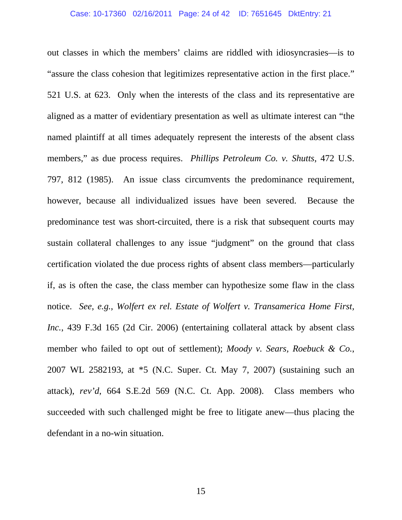### Case: 10-17360 02/16/2011 Page: 24 of 42 ID: 7651645 DktEntry: 21

out classes in which the members' claims are riddled with idiosyncrasies—is to "assure the class cohesion that legitimizes representative action in the first place." 521 U.S. at 623. Only when the interests of the class and its representative are aligned as a matter of evidentiary presentation as well as ultimate interest can "the named plaintiff at all times adequately represent the interests of the absent class members," as due process requires. *Phillips Petroleum Co. v. Shutts*, 472 U.S. 797, 812 (1985). An issue class circumvents the predominance requirement, however, because all individualized issues have been severed. Because the predominance test was short-circuited, there is a risk that subsequent courts may sustain collateral challenges to any issue "judgment" on the ground that class certification violated the due process rights of absent class members—particularly if, as is often the case, the class member can hypothesize some flaw in the class notice. *See*, *e.g.*, *Wolfert ex rel. Estate of Wolfert v. Transamerica Home First, Inc.*, 439 F.3d 165 (2d Cir. 2006) (entertaining collateral attack by absent class member who failed to opt out of settlement); *Moody v. Sears, Roebuck & Co.*, 2007 WL 2582193, at \*5 (N.C. Super. Ct. May 7, 2007) (sustaining such an attack), *rev'd*, 664 S.E.2d 569 (N.C. Ct. App. 2008).Class members who succeeded with such challenged might be free to litigate anew—thus placing the defendant in a no-win situation.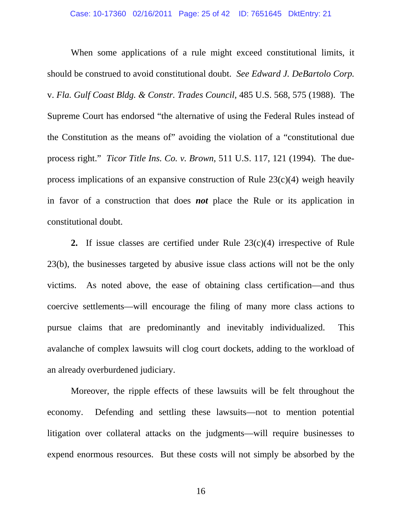When some applications of a rule might exceed constitutional limits, it should be construed to avoid constitutional doubt. *See Edward J. DeBartolo Corp.*  v. *Fla. Gulf Coast Bldg. & Constr. Trades Council*, 485 U.S. 568, 575 (1988). The Supreme Court has endorsed "the alternative of using the Federal Rules instead of the Constitution as the means of" avoiding the violation of a "constitutional due process right." *Ticor Title Ins. Co. v. Brown*, 511 U.S. 117, 121 (1994). The dueprocess implications of an expansive construction of Rule 23(c)(4) weigh heavily in favor of a construction that does *not* place the Rule or its application in constitutional doubt.

**2.** If issue classes are certified under Rule 23(c)(4) irrespective of Rule 23(b), the businesses targeted by abusive issue class actions will not be the only victims. As noted above, the ease of obtaining class certification—and thus coercive settlements—will encourage the filing of many more class actions to pursue claims that are predominantly and inevitably individualized. This avalanche of complex lawsuits will clog court dockets, adding to the workload of an already overburdened judiciary.

Moreover, the ripple effects of these lawsuits will be felt throughout the economy. Defending and settling these lawsuits—not to mention potential litigation over collateral attacks on the judgments—will require businesses to expend enormous resources. But these costs will not simply be absorbed by the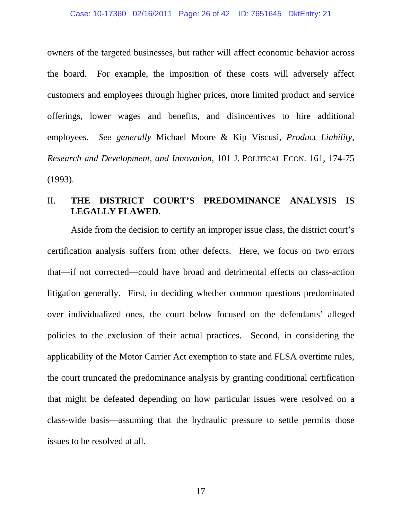owners of the targeted businesses, but rather will affect economic behavior across the board. For example, the imposition of these costs will adversely affect customers and employees through higher prices, more limited product and service offerings, lower wages and benefits, and disincentives to hire additional employees. *See generally* Michael Moore & Kip Viscusi, *Product Liability, Research and Development, and Innovation*, 101 J. POLITICAL ECON. 161, 174-75 (1993).

### II. **THE DISTRICT COURT'S PREDOMINANCE ANALYSIS IS LEGALLY FLAWED.**

Aside from the decision to certify an improper issue class, the district court's certification analysis suffers from other defects. Here, we focus on two errors that—if not corrected—could have broad and detrimental effects on class-action litigation generally. First, in deciding whether common questions predominated over individualized ones, the court below focused on the defendants' alleged policies to the exclusion of their actual practices. Second, in considering the applicability of the Motor Carrier Act exemption to state and FLSA overtime rules, the court truncated the predominance analysis by granting conditional certification that might be defeated depending on how particular issues were resolved on a class-wide basis—assuming that the hydraulic pressure to settle permits those issues to be resolved at all.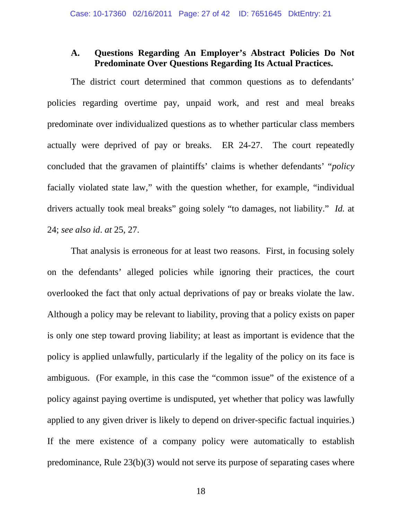## **A. Questions Regarding An Employer's Abstract Policies Do Not Predominate Over Questions Regarding Its Actual Practices.**

The district court determined that common questions as to defendants' policies regarding overtime pay, unpaid work, and rest and meal breaks predominate over individualized questions as to whether particular class members actually were deprived of pay or breaks. ER 24-27. The court repeatedly concluded that the gravamen of plaintiffs' claims is whether defendants' "*policy* facially violated state law," with the question whether, for example, "individual drivers actually took meal breaks" going solely "to damages, not liability." *Id.* at 24; *see also id*. *at* 25, 27.

That analysis is erroneous for at least two reasons. First, in focusing solely on the defendants' alleged policies while ignoring their practices, the court overlooked the fact that only actual deprivations of pay or breaks violate the law. Although a policy may be relevant to liability, proving that a policy exists on paper is only one step toward proving liability; at least as important is evidence that the policy is applied unlawfully, particularly if the legality of the policy on its face is ambiguous. (For example, in this case the "common issue" of the existence of a policy against paying overtime is undisputed, yet whether that policy was lawfully applied to any given driver is likely to depend on driver-specific factual inquiries.) If the mere existence of a company policy were automatically to establish predominance, Rule 23(b)(3) would not serve its purpose of separating cases where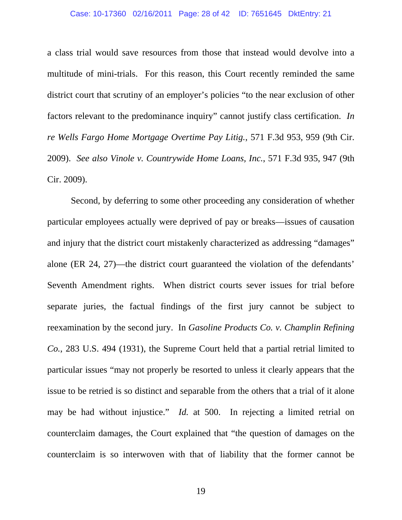### Case: 10-17360 02/16/2011 Page: 28 of 42 ID: 7651645 DktEntry: 21

a class trial would save resources from those that instead would devolve into a multitude of mini-trials. For this reason, this Court recently reminded the same district court that scrutiny of an employer's policies "to the near exclusion of other factors relevant to the predominance inquiry" cannot justify class certification. *In re Wells Fargo Home Mortgage Overtime Pay Litig.*, 571 F.3d 953, 959 (9th Cir. 2009). *See also Vinole v. Countrywide Home Loans, Inc.*, 571 F.3d 935, 947 (9th Cir. 2009).

Second, by deferring to some other proceeding any consideration of whether particular employees actually were deprived of pay or breaks—issues of causation and injury that the district court mistakenly characterized as addressing "damages" alone (ER 24, 27)—the district court guaranteed the violation of the defendants' Seventh Amendment rights. When district courts sever issues for trial before separate juries, the factual findings of the first jury cannot be subject to reexamination by the second jury. In *Gasoline Products Co. v. Champlin Refining Co.*, 283 U.S. 494 (1931), the Supreme Court held that a partial retrial limited to particular issues "may not properly be resorted to unless it clearly appears that the issue to be retried is so distinct and separable from the others that a trial of it alone may be had without injustice." *Id.* at 500. In rejecting a limited retrial on counterclaim damages, the Court explained that "the question of damages on the counterclaim is so interwoven with that of liability that the former cannot be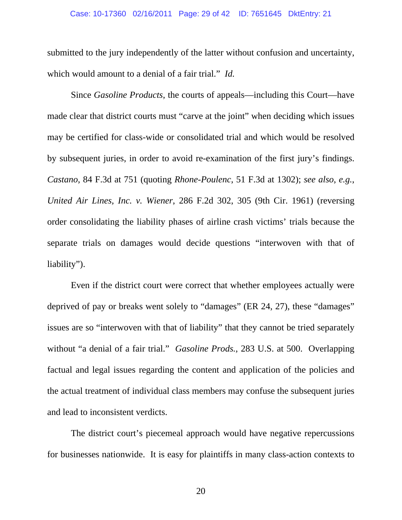### Case: 10-17360 02/16/2011 Page: 29 of 42 ID: 7651645 DktEntry: 21

submitted to the jury independently of the latter without confusion and uncertainty, which would amount to a denial of a fair trial." *Id.* 

Since *Gasoline Products*, the courts of appeals—including this Court—have made clear that district courts must "carve at the joint" when deciding which issues may be certified for class-wide or consolidated trial and which would be resolved by subsequent juries, in order to avoid re-examination of the first jury's findings. *Castano*, 84 F.3d at 751 (quoting *Rhone-Poulenc*, 51 F.3d at 1302); *see also*, *e.g.*, *United Air Lines, Inc. v. Wiener*, 286 F.2d 302, 305 (9th Cir. 1961) (reversing order consolidating the liability phases of airline crash victims' trials because the separate trials on damages would decide questions "interwoven with that of liability").

Even if the district court were correct that whether employees actually were deprived of pay or breaks went solely to "damages" (ER 24, 27), these "damages" issues are so "interwoven with that of liability" that they cannot be tried separately without "a denial of a fair trial." *Gasoline Prods.*, 283 U.S. at 500. Overlapping factual and legal issues regarding the content and application of the policies and the actual treatment of individual class members may confuse the subsequent juries and lead to inconsistent verdicts.

The district court's piecemeal approach would have negative repercussions for businesses nationwide. It is easy for plaintiffs in many class-action contexts to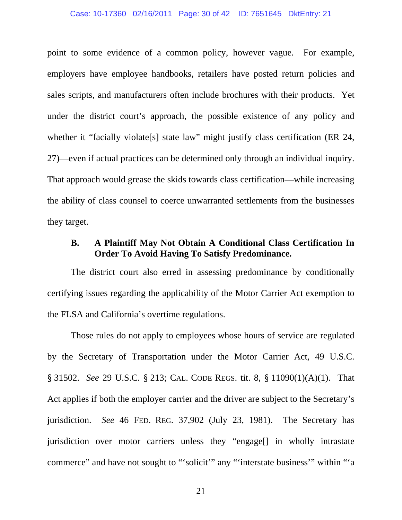### Case: 10-17360 02/16/2011 Page: 30 of 42 ID: 7651645 DktEntry: 21

point to some evidence of a common policy, however vague. For example, employers have employee handbooks, retailers have posted return policies and sales scripts, and manufacturers often include brochures with their products. Yet under the district court's approach, the possible existence of any policy and whether it "facially violate<sup>[s]</sup> state law" might justify class certification (ER 24, 27)—even if actual practices can be determined only through an individual inquiry. That approach would grease the skids towards class certification—while increasing the ability of class counsel to coerce unwarranted settlements from the businesses they target.

## **B. A Plaintiff May Not Obtain A Conditional Class Certification In Order To Avoid Having To Satisfy Predominance.**

The district court also erred in assessing predominance by conditionally certifying issues regarding the applicability of the Motor Carrier Act exemption to the FLSA and California's overtime regulations.

Those rules do not apply to employees whose hours of service are regulated by the Secretary of Transportation under the Motor Carrier Act, 49 U.S.C. § 31502. *See* 29 U.S.C. § 213; CAL. CODE REGS. tit. 8, § 11090(1)(A)(1). That Act applies if both the employer carrier and the driver are subject to the Secretary's jurisdiction. *See* 46 FED. REG. 37,902 (July 23, 1981). The Secretary has jurisdiction over motor carriers unless they "engage[] in wholly intrastate commerce" and have not sought to "'solicit'" any "'interstate business'" within "'a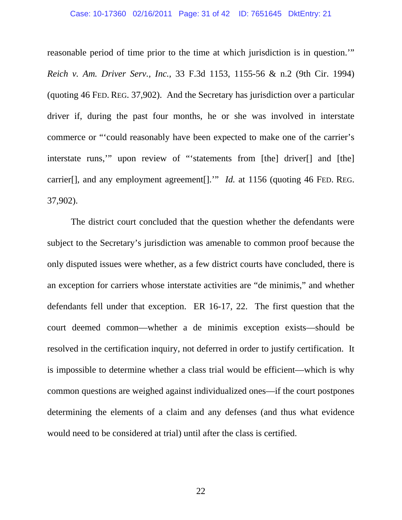#### Case: 10-17360 02/16/2011 Page: 31 of 42 ID: 7651645 DktEntry: 21

reasonable period of time prior to the time at which jurisdiction is in question.'" *Reich v. Am. Driver Serv., Inc.*, 33 F.3d 1153, 1155-56 & n.2 (9th Cir. 1994) (quoting 46 FED. REG. 37,902). And the Secretary has jurisdiction over a particular driver if, during the past four months, he or she was involved in interstate commerce or "'could reasonably have been expected to make one of the carrier's interstate runs,'" upon review of "'statements from [the] driver[] and [the] carrier[], and any employment agreement[]." *Id.* at 1156 (quoting 46 FED. REG. 37,902).

The district court concluded that the question whether the defendants were subject to the Secretary's jurisdiction was amenable to common proof because the only disputed issues were whether, as a few district courts have concluded, there is an exception for carriers whose interstate activities are "de minimis," and whether defendants fell under that exception. ER 16-17, 22. The first question that the court deemed common—whether a de minimis exception exists—should be resolved in the certification inquiry, not deferred in order to justify certification. It is impossible to determine whether a class trial would be efficient—which is why common questions are weighed against individualized ones—if the court postpones determining the elements of a claim and any defenses (and thus what evidence would need to be considered at trial) until after the class is certified.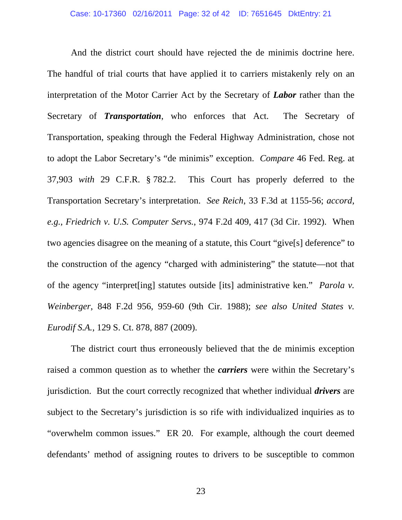And the district court should have rejected the de minimis doctrine here. The handful of trial courts that have applied it to carriers mistakenly rely on an interpretation of the Motor Carrier Act by the Secretary of *Labor* rather than the Secretary of *Transportation*, who enforces that Act. The Secretary of Transportation, speaking through the Federal Highway Administration, chose not to adopt the Labor Secretary's "de minimis" exception. *Compare* 46 Fed. Reg. at 37,903 *with* 29 C.F.R. § 782.2. This Court has properly deferred to the Transportation Secretary's interpretation. *See Reich*, 33 F.3d at 1155-56; *accord*, *e.g.*, *Friedrich v. U.S. Computer Servs.*, 974 F.2d 409, 417 (3d Cir. 1992). When two agencies disagree on the meaning of a statute, this Court "give[s] deference" to the construction of the agency "charged with administering" the statute—not that of the agency "interpret[ing] statutes outside [its] administrative ken." *Parola v. Weinberger*, 848 F.2d 956, 959-60 (9th Cir. 1988); *see also United States v. Eurodif S.A.*, 129 S. Ct. 878, 887 (2009).

The district court thus erroneously believed that the de minimis exception raised a common question as to whether the *carriers* were within the Secretary's jurisdiction. But the court correctly recognized that whether individual *drivers* are subject to the Secretary's jurisdiction is so rife with individualized inquiries as to "overwhelm common issues." ER 20. For example, although the court deemed defendants' method of assigning routes to drivers to be susceptible to common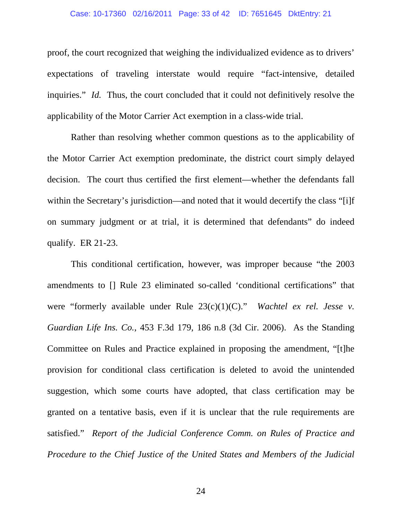#### Case: 10-17360 02/16/2011 Page: 33 of 42 ID: 7651645 DktEntry: 21

proof, the court recognized that weighing the individualized evidence as to drivers' expectations of traveling interstate would require "fact-intensive, detailed inquiries." *Id.* Thus, the court concluded that it could not definitively resolve the applicability of the Motor Carrier Act exemption in a class-wide trial.

Rather than resolving whether common questions as to the applicability of the Motor Carrier Act exemption predominate, the district court simply delayed decision. The court thus certified the first element—whether the defendants fall within the Secretary's jurisdiction—and noted that it would decertify the class "[i]f on summary judgment or at trial, it is determined that defendants" do indeed qualify. ER 21-23.

This conditional certification, however, was improper because "the 2003 amendments to [] Rule 23 eliminated so-called 'conditional certifications" that were "formerly available under Rule 23(c)(1)(C)." *Wachtel ex rel. Jesse v. Guardian Life Ins. Co.*, 453 F.3d 179, 186 n.8 (3d Cir. 2006). As the Standing Committee on Rules and Practice explained in proposing the amendment, "[t]he provision for conditional class certification is deleted to avoid the unintended suggestion, which some courts have adopted, that class certification may be granted on a tentative basis, even if it is unclear that the rule requirements are satisfied." *Report of the Judicial Conference Comm. on Rules of Practice and Procedure to the Chief Justice of the United States and Members of the Judicial*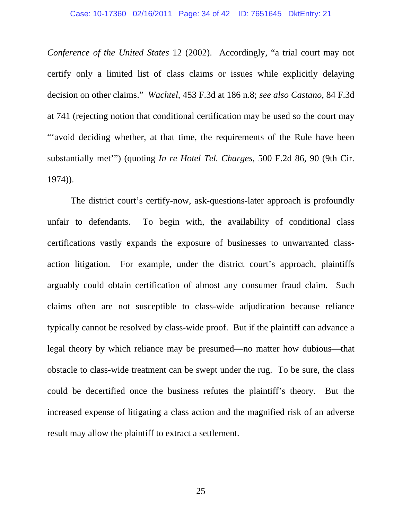*Conference of the United States* 12 (2002). Accordingly, "a trial court may not certify only a limited list of class claims or issues while explicitly delaying decision on other claims." *Wachtel*, 453 F.3d at 186 n.8; *see also Castano*, 84 F.3d at 741 (rejecting notion that conditional certification may be used so the court may "'avoid deciding whether, at that time, the requirements of the Rule have been substantially met'") (quoting *In re Hotel Tel. Charges*, 500 F.2d 86, 90 (9th Cir. 1974)).

The district court's certify-now, ask-questions-later approach is profoundly unfair to defendants. To begin with, the availability of conditional class certifications vastly expands the exposure of businesses to unwarranted classaction litigation. For example, under the district court's approach, plaintiffs arguably could obtain certification of almost any consumer fraud claim. Such claims often are not susceptible to class-wide adjudication because reliance typically cannot be resolved by class-wide proof. But if the plaintiff can advance a legal theory by which reliance may be presumed—no matter how dubious—that obstacle to class-wide treatment can be swept under the rug. To be sure, the class could be decertified once the business refutes the plaintiff's theory. But the increased expense of litigating a class action and the magnified risk of an adverse result may allow the plaintiff to extract a settlement.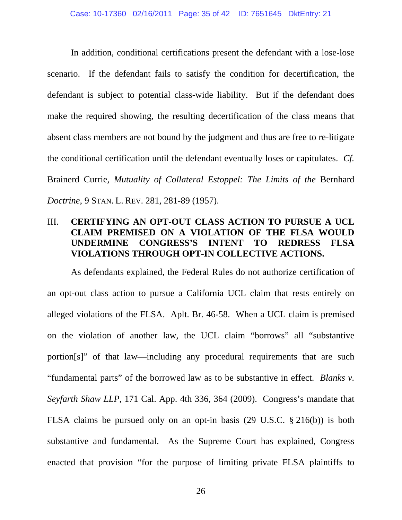In addition, conditional certifications present the defendant with a lose-lose scenario. If the defendant fails to satisfy the condition for decertification, the defendant is subject to potential class-wide liability. But if the defendant does make the required showing, the resulting decertification of the class means that absent class members are not bound by the judgment and thus are free to re-litigate the conditional certification until the defendant eventually loses or capitulates. *Cf.*  Brainerd Currie, *Mutuality of Collateral Estoppel: The Limits of the* Bernhard *Doctrine*, 9 STAN. L. REV. 281, 281-89 (1957).

## III. **CERTIFYING AN OPT-OUT CLASS ACTION TO PURSUE A UCL CLAIM PREMISED ON A VIOLATION OF THE FLSA WOULD UNDERMINE CONGRESS'S INTENT TO REDRESS FLSA VIOLATIONS THROUGH OPT-IN COLLECTIVE ACTIONS.**

As defendants explained, the Federal Rules do not authorize certification of an opt-out class action to pursue a California UCL claim that rests entirely on alleged violations of the FLSA. Aplt. Br. 46-58. When a UCL claim is premised on the violation of another law, the UCL claim "borrows" all "substantive portion[s]" of that law—including any procedural requirements that are such "fundamental parts" of the borrowed law as to be substantive in effect. *Blanks v. Seyfarth Shaw LLP*, 171 Cal. App. 4th 336, 364 (2009). Congress's mandate that FLSA claims be pursued only on an opt-in basis (29 U.S.C. § 216(b)) is both substantive and fundamental. As the Supreme Court has explained, Congress enacted that provision "for the purpose of limiting private FLSA plaintiffs to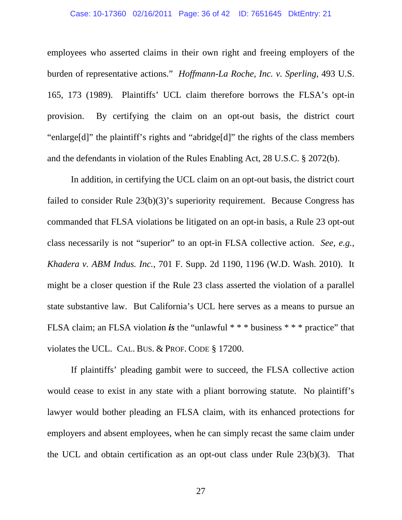### Case: 10-17360 02/16/2011 Page: 36 of 42 ID: 7651645 DktEntry: 21

employees who asserted claims in their own right and freeing employers of the burden of representative actions." *Hoffmann-La Roche, Inc. v. Sperling*, 493 U.S. 165, 173 (1989). Plaintiffs' UCL claim therefore borrows the FLSA's opt-in provision. By certifying the claim on an opt-out basis, the district court "enlarge[d]" the plaintiff's rights and "abridge[d]" the rights of the class members and the defendants in violation of the Rules Enabling Act, 28 U.S.C. § 2072(b).

In addition, in certifying the UCL claim on an opt-out basis, the district court failed to consider Rule 23(b)(3)'s superiority requirement. Because Congress has commanded that FLSA violations be litigated on an opt-in basis, a Rule 23 opt-out class necessarily is not "superior" to an opt-in FLSA collective action. *See*, *e.g.*, *Khadera v. ABM Indus. Inc.*, 701 F. Supp. 2d 1190, 1196 (W.D. Wash. 2010). It might be a closer question if the Rule 23 class asserted the violation of a parallel state substantive law. But California's UCL here serves as a means to pursue an FLSA claim; an FLSA violation *is* the "unlawful \* \* \* business \* \* \* practice" that violates the UCL. CAL. BUS. & PROF. CODE § 17200.

If plaintiffs' pleading gambit were to succeed, the FLSA collective action would cease to exist in any state with a pliant borrowing statute. No plaintiff's lawyer would bother pleading an FLSA claim, with its enhanced protections for employers and absent employees, when he can simply recast the same claim under the UCL and obtain certification as an opt-out class under Rule 23(b)(3). That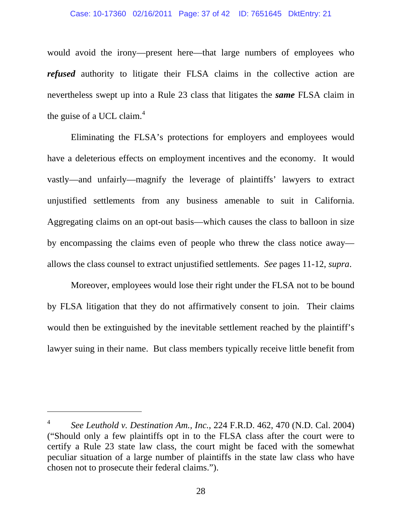#### Case: 10-17360 02/16/2011 Page: 37 of 42 ID: 7651645 DktEntry: 21

would avoid the irony—present here—that large numbers of employees who *refused* authority to litigate their FLSA claims in the collective action are nevertheless swept up into a Rule 23 class that litigates the *same* FLSA claim in the guise of a UCL claim. $4$ 

Eliminating the FLSA's protections for employers and employees would have a deleterious effects on employment incentives and the economy. It would vastly—and unfairly—magnify the leverage of plaintiffs' lawyers to extract unjustified settlements from any business amenable to suit in California. Aggregating claims on an opt-out basis—which causes the class to balloon in size by encompassing the claims even of people who threw the class notice away allows the class counsel to extract unjustified settlements. *See* pages 11-12, *supra*.

Moreover, employees would lose their right under the FLSA not to be bound by FLSA litigation that they do not affirmatively consent to join. Their claims would then be extinguished by the inevitable settlement reached by the plaintiff's lawyer suing in their name. But class members typically receive little benefit from

l

<sup>4</sup> *See Leuthold v. Destination Am., Inc.*, 224 F.R.D. 462, 470 (N.D. Cal. 2004) ("Should only a few plaintiffs opt in to the FLSA class after the court were to certify a Rule 23 state law class, the court might be faced with the somewhat peculiar situation of a large number of plaintiffs in the state law class who have chosen not to prosecute their federal claims.").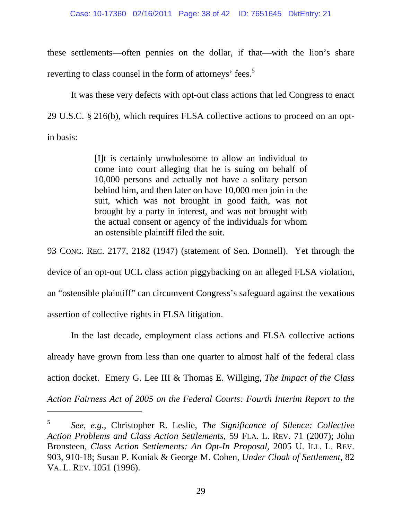#### Case: 10-17360 02/16/2011 Page: 38 of 42 ID: 7651645 DktEntry: 21

these settlements—often pennies on the dollar, if that—with the lion's share reverting to class counsel in the form of attorneys' fees.<sup>5</sup>

It was these very defects with opt-out class actions that led Congress to enact 29 U.S.C. § 216(b), which requires FLSA collective actions to proceed on an optin basis:

> [I]t is certainly unwholesome to allow an individual to come into court alleging that he is suing on behalf of 10,000 persons and actually not have a solitary person behind him, and then later on have 10,000 men join in the suit, which was not brought in good faith, was not brought by a party in interest, and was not brought with the actual consent or agency of the individuals for whom an ostensible plaintiff filed the suit.

93 CONG. REC. 2177, 2182 (1947) (statement of Sen. Donnell). Yet through the device of an opt-out UCL class action piggybacking on an alleged FLSA violation, an "ostensible plaintiff" can circumvent Congress's safeguard against the vexatious assertion of collective rights in FLSA litigation.

In the last decade, employment class actions and FLSA collective actions already have grown from less than one quarter to almost half of the federal class action docket. Emery G. Lee III & Thomas E. Willging, *The Impact of the Class Action Fairness Act of 2005 on the Federal Courts: Fourth Interim Report to the* 

l

<sup>5</sup> *See*, *e.g.*, Christopher R. Leslie, *The Significance of Silence: Collective Action Problems and Class Action Settlements*, 59 FLA. L. REV. 71 (2007); John Bronsteen, *Class Action Settlements: An Opt-In Proposal*, 2005 U. ILL. L. REV. 903, 910-18; Susan P. Koniak & George M. Cohen, *Under Cloak of Settlement*, 82 VA. L. REV. 1051 (1996).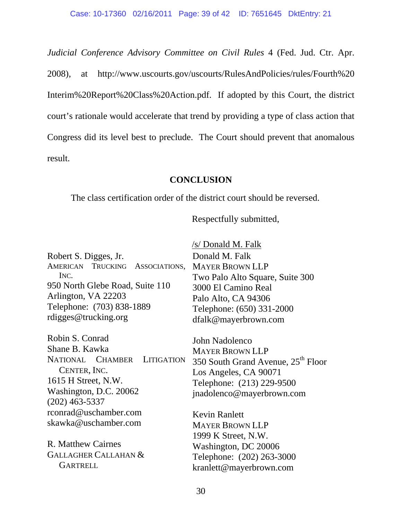*Judicial Conference Advisory Committee on Civil Rules* 4 (Fed. Jud. Ctr. Apr. 2008), at http://www.uscourts.gov/uscourts/RulesAndPolicies/rules/Fourth%20 Interim%20Report%20Class%20Action.pdf. If adopted by this Court, the district court's rationale would accelerate that trend by providing a type of class action that Congress did its level best to preclude. The Court should prevent that anomalous result.

## **CONCLUSION**

The class certification order of the district court should be reversed.

Respectfully submitted,

|                                                 | /s/ Donald M. Falk                             |  |  |
|-------------------------------------------------|------------------------------------------------|--|--|
| Robert S. Digges, Jr.                           | Donald M. Falk                                 |  |  |
| AMERICAN TRUCKING ASSOCIATIONS, MAYER BROWN LLP |                                                |  |  |
| INC.                                            | Two Palo Alto Square, Suite 300                |  |  |
| 950 North Glebe Road, Suite 110                 | 3000 El Camino Real<br>Palo Alto, CA 94306     |  |  |
| Arlington, VA 22203                             |                                                |  |  |
| Telephone: (703) 838-1889                       | Telephone: (650) 331-2000                      |  |  |
| rdigges@trucking.org                            | dfalk@mayerbrown.com                           |  |  |
| Robin S. Conrad                                 | John Nadolenco                                 |  |  |
| Shane B. Kawka                                  | <b>MAYER BROWN LLP</b>                         |  |  |
| NATIONAL CHAMBER LITIGATION                     | 350 South Grand Avenue, 25 <sup>th</sup> Floor |  |  |
| CENTER, INC.                                    | Los Angeles, CA 90071                          |  |  |
| 1615 H Street, N.W.                             | Telephone: (213) 229-9500                      |  |  |
| Washington, D.C. 20062                          | jnadolenco@mayerbrown.com                      |  |  |
| $(202)$ 463-5337                                |                                                |  |  |
| rconrad@uschamber.com                           | <b>Kevin Ranlett</b>                           |  |  |
| skawka@uschamber.com                            | <b>MAYER BROWN LLP</b>                         |  |  |
|                                                 | 1999 K Street, N.W.                            |  |  |
| R. Matthew Cairnes                              | Washington, DC 20006                           |  |  |
| <b>GALLAGHER CALLAHAN &amp;</b>                 | Telephone: (202) 263-3000                      |  |  |
| <b>GARTRELL</b>                                 | kranlett@mayerbrown.com                        |  |  |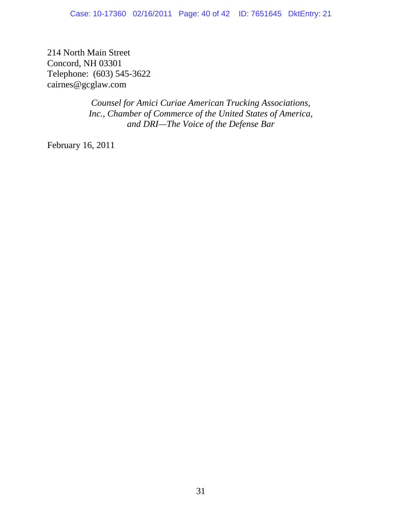214 North Main Street Concord, NH 03301 Telephone: (603) 545-3622 cairnes@gcglaw.com

> *Counsel for Amici Curiae American Trucking Associations, Inc., Chamber of Commerce of the United States of America, and DRI—The Voice of the Defense Bar*

February 16, 2011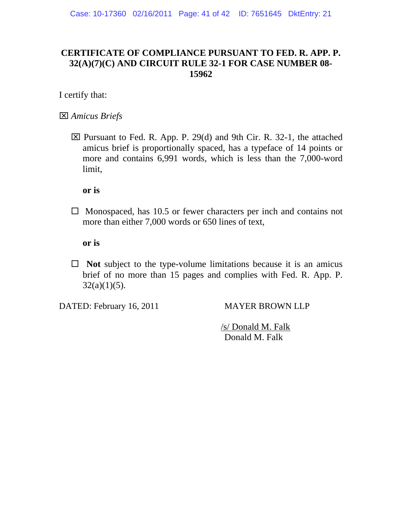## **CERTIFICATE OF COMPLIANCE PURSUANT TO FED. R. APP. P. 32(A)(7)(C) AND CIRCUIT RULE 32-1 FOR CASE NUMBER 08- 15962**

I certify that:

*Amicus Briefs* 

 $\boxtimes$  Pursuant to Fed. R. App. P. 29(d) and 9th Cir. R. 32-1, the attached amicus brief is proportionally spaced, has a typeface of 14 points or more and contains 6,991 words, which is less than the 7,000-word limit,

**or is** 

 $\Box$  Monospaced, has 10.5 or fewer characters per inch and contains not more than either 7,000 words or 650 lines of text,

**or is** 

 $\Box$  **Not** subject to the type-volume limitations because it is an amicus brief of no more than 15 pages and complies with Fed. R. App. P.  $32(a)(1)(5)$ .

DATED: February 16, 2011 MAYER BROWN LLP

 /s/ Donald M. Falk Donald M. Falk